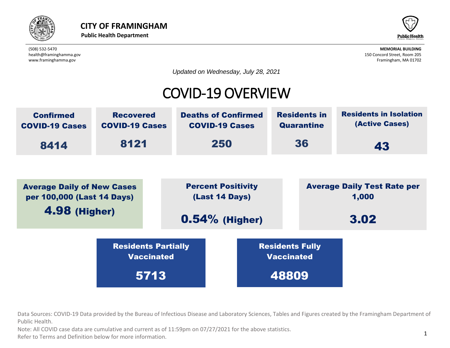



*Updated on Wednesday, July 28, 2021*

## COVID-19 OVERVIEW



rces: COVID-19 Data provided by the Bureau of Infectious Disease and Laboratory Scienc<br>:alth. Average Daily of New Cases Data Sources: COVID-19 Data provided by the Bureau of Infectious Disease and Laboratory Sciences, Tables and Figures created by the Framingham Department of<br>Public Health Public Health. Residents Partially value of the contract of the contract of the contract of the contract of the contract of the contract of the contract of the contract of the contract of the contract of the contract of the contract of the contract of the c

นา.<br>DVID case data are cumulative and current as of 11:59pm on 07/27/2021 for the al<br>rms and Definition below for more information Public Health.<br>Note: All COVID case data are cumulative and current as of 11:59pm on 07/27/2021 for the above statistics.

Refer to Terms and Definition below for more information.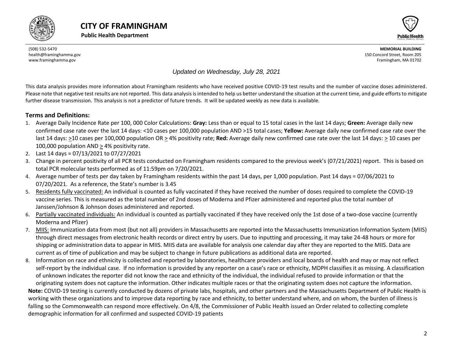



*Updated on Wednesday, July 28, 2021*

This data analysis provides more information about Framingham residents who have received positive COVID-19 test results and the number of vaccine doses administered. Please note that negative test results are not reported. This data analysis is intended to help us better understand the situation at the current time, and guide efforts to mitigate further disease transmission. This analysis is not a predictor of future trends. It will be updated weekly as new data is available.

#### **Terms and Definitions:**

- 1. Average Daily Incidence Rate per 100, 000 Color Calculations: **Gray:** Less than or equal to 15 total cases in the last 14 days; **Green:** Average daily new confirmed case rate over the last 14 days: <10 cases per 100,000 population AND >15 total cases; **Yellow:** Average daily new confirmed case rate over the last 14 days: >10 cases per 100,000 population OR > 4% positivity rate; **Red:** Average daily new confirmed case rate over the last 14 days: > 10 cases per 100,000 population AND > 4% positivity rate.
- 2. Last 14 days = 07/13/2021 to 07/27/2021
- 3. Change in percent positivity of all PCR tests conducted on Framingham residents compared to the previous week's (07/21/2021) report. This is based on total PCR molecular tests performed as of 11:59pm on 7/20/2021.
- 4. Average number of tests per day taken by Framingham residents within the past 14 days, per 1,000 population. Past 14 days = 07/06/2021 to 07/20/2021. As a reference, the State's number is 3.45
- 5. Residents fully vaccinated: An individual is counted as fully vaccinated if they have received the number of doses required to complete the COVID-19 vaccine series. This is measured as the total number of 2nd doses of Moderna and Pfizer administered and reported plus the total number of Janssen/Johnson & Johnson doses administered and reported.
- 6. Partially vaccinated individuals: An individual is counted as partially vaccinated if they have received only the 1st dose of a two-dose vaccine (currently Moderna and Pfizer)
- 7. MIIS: Immunization data from most (but not all) providers in Massachusetts are reported into the Massachusetts Immunization Information System (MIIS) through direct messages from electronic health records or direct entry by users. Due to inputting and processing, it may take 24-48 hours or more for shipping or administration data to appear in MIIS. MIIS data are available for analysis one calendar day after they are reported to the MIIS. Data are current as of time of publication and may be subject to change in future publications as additional data are reported.
- 8. Information on race and ethnicity is collected and reported by laboratories, healthcare providers and local boards of health and may or may not reflect self-report by the individual case. If no information is provided by any reporter on a case's race or ethnicity, MDPH classifies it as missing. A classification of unknown indicates the reporter did not know the race and ethnicity of the individual, the individual refused to provide information or that the

<span id="page-1-0"></span>originating system does not capture the information. Other indicates multiple races or that the originating system does not capture the information. **Note:** COVID-19 testing is currently conducted by dozens of private labs, hospitals, and other partners and the Massachusetts Department of Public Health is working with these organizations and to improve data reporting by race and ethnicity, to better understand where, and on whom, the burden of illness is falling so the Commonwealth can respond more effectively. On 4/8, the Commissioner of Public Health issued an Order related to collecting complete demographic information for all confirmed and suspected COVID-19 patients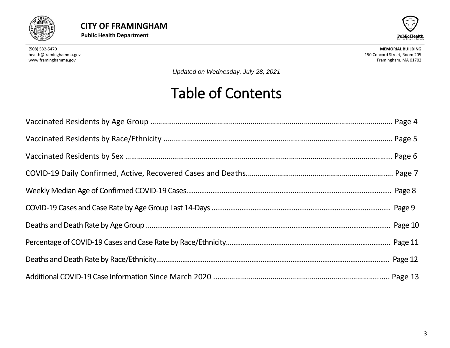



*Updated on Wednesday, July 28, 2021*

# Table of Contents

<span id="page-2-0"></span>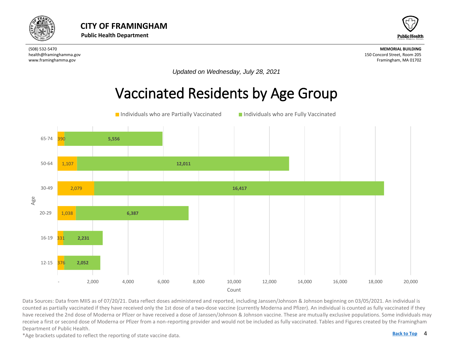



*Updated on Wednesday, July 28, 2021*

## Vaccinated Residents by Age Group



counted as partially vaccinated if they have received only the 1st dose of a two-dose vaccine (currently Moderna and Pfizer). An individual is counted as fully vaccinated if they<br>have received the 2nd dose of Moderna or Pf Data Sources: Data from MIIS as of 07/20/21. Data reflect doses administered and reported, including Janssen/Johnson & Johnson beginning on 03/05/2021. An individual is have received the 2nd dose of Moderna or Pfizer or have received a dose of Janssen/Johnson & Johnson vaccine. These are mutually exclusive populations. Some individuals may receive a first or second dose of Moderna or Pfizer from a non-reporting provider and would not be included as fully vaccinated. Tables and Figures created by the Framingham Department of Public Health.

\*Age brackets updated to reflect the reporting of state vaccine data.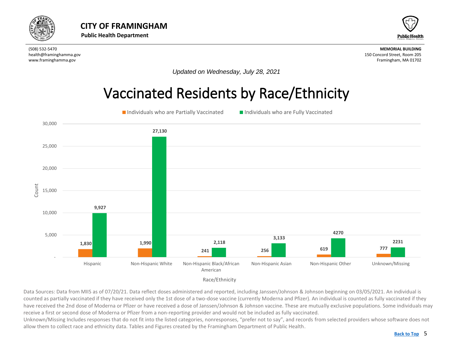<span id="page-4-0"></span>



*Updated on Wednesday, July 28, 2021*

## Vaccinated Residents by Race/Ethnicity





Data Sources: Data from MIIS as of 07/20/21. Data reflect doses administered and reported, including Janssen/Johnson & Johnson beginning on 03/05/2021. An individual is counted as partially vaccinated if they have received only the 1st dose of a two-dose vaccine (currently Moderna and Pfizer). An individual is counted as fully vaccinated if they have received the 2nd dose of Moderna or Pfizer or have received a dose of Janssen/Johnson & Johnson vaccine. These are mutually exclusive populations. Some individuals may receive a first or second dose of Moderna or Pfizer from a non-reporting provider and would not be included as fully vaccinated.

Unknown/Missing Includes responses that do not fit into the listed categories, nonresponses, "prefer not to say", and records from selected providers whose software does not allow them to collect race and ethnicity data. Tables and Figures created by the Framingham Department of Public Health.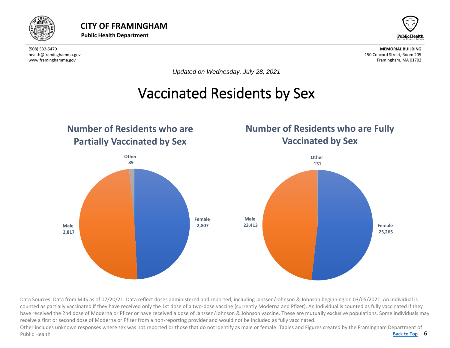



*Updated on Wednesday, July 28, 2021*

## Vaccinated Residents by Sex

<span id="page-5-0"></span>

Data Sources: Data from MIIS as of 07/20/21. Data reflect doses administered and reported, including Janssen/Johnson & Johnson beginning on 03/05/2021. An individual is counted as partially vaccinated if they have received only the 1st dose of a two-dose vaccine (currently Moderna and Pfizer). An individual is counted as fully vaccinated if they have received the 2nd dose of Moderna or Pfizer or have received a dose of Janssen/Johnson & Johnson vaccine. These are mutually exclusive populations. Some individuals may receive a first or second dose of Moderna or Pfizer from a non-reporting provider and would not be included as fully vaccinated.

Back to Top 6 Other includes unknown responses where sex was not reported or those that do not identify as male or female. Tables and Figures created by the Framingham Department of Public Health **[Back to Top](#page-1-0)**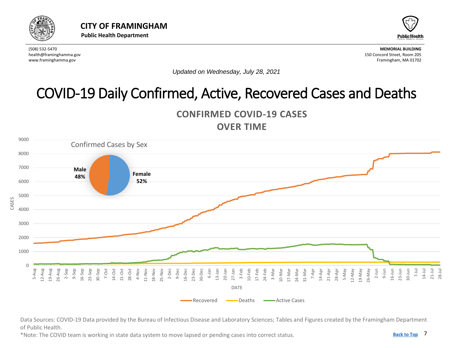<span id="page-6-0"></span>



*Updated on Wednesday, July 28, 2021*

## COVID-19 Daily Confirmed, Active, Recovered Cases and Deaths





Data Sources: COVID-19 Data provided by the Bureau of Infectious Disease and Laboratory Sciences; Tables and Figures created by the Framingham Department of Public Health.

\*Note: The COVID team is working in state data system to move lapsed or pending cases into correct status.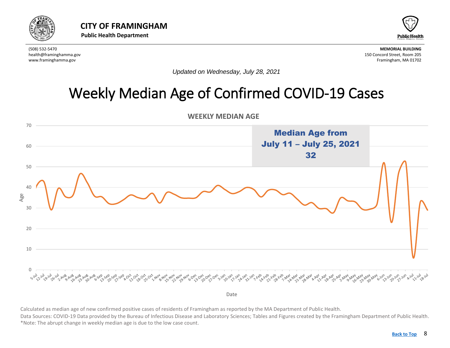<span id="page-7-0"></span>



*Updated on Wednesday, July 28, 2021*

## Weekly Median Age of Confirmed COVID-19 Cases



Calculated as median age of new confirmed positive cases of residents of Framingham as reported by the MA Department of Public Health.<br>Data Sources: COVID-19 Data provided by the Bureau of Infectious Disease and Laboratory Calculated as median age of new confirmed positive cases of residents of Framingham as reported by the MA Department of Public Health. \*Note: The abrupt change in weekly median age is due to the low case count.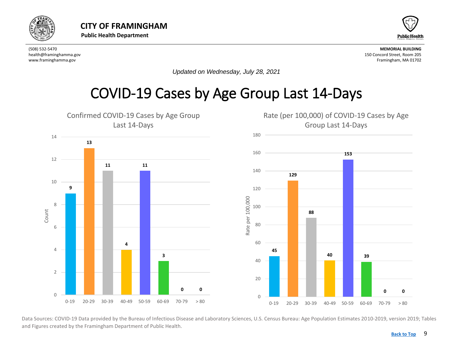<span id="page-8-0"></span>



*Updated on Wednesday, July 28, 2021*

### COVID-19 Cases by Age Group Last 14-Days



Data Sources: COVID-19 Data provided by the Bureau of Infectious Disease and Laboratory Sciences, U.S. Census Bureau: Age Population Estimates 2010-2019, version 2019; Tables and Figures created by the Framingham Department of Public Health.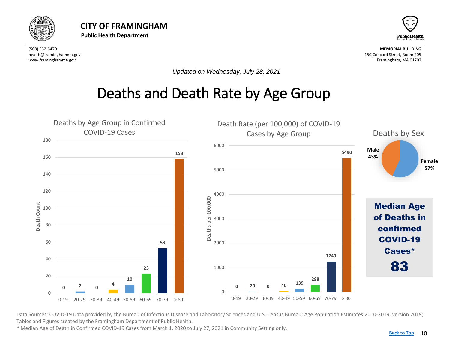<span id="page-9-0"></span>



*Updated on Wednesday, July 28, 2021*

## Deaths and Death Rate by Age Group



Data Sources: COVID-19 Data provided by the Bureau of Infectious Disease and Laboratory Sciences and U.S. Census Bureau: Age Population Estimates 2010-2019, version 2019; Tables and Figures created by the Framingham Department of Public Health.

\* Median Age of Death in Confirmed COVID-19 Cases from March 1, 2020 to July 27, 2021 in Community Setting only.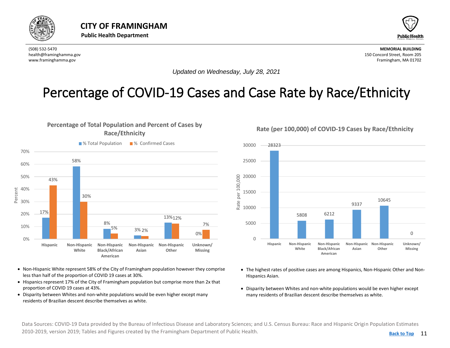<span id="page-10-0"></span>



*Updated on Wednesday, July 28, 2021*

#### Percentage of COVID-19 Cases and Case Rate by Race/Ethnicity

per 100,000

Rate





- Non-Hispanic White represent 58% of the City of Framingham population however they comprise less than half of the proportion of COVID 19 cases at 30%.
- Hispanics represent 17% of the City of Framingham population but comprise more than 2x that proportion of COVID 19 cases at 43%.
- Disparity between Whites and non-white populations would be even higher except many residents of Brazilian descent describe themselves as white.

28323 20000 25000 30000

**Rate (per 100,000) of COVID-19 Cases by Race/Ethnicity**



- The highest rates of positive cases are among Hispanics, Non-Hispanic Other and Non-Hispanics Asian.
- Disparity between Whites and non-white populations would be even higher except many residents of Brazilian descent describe themselves as white.

Data Sources: COVID-19 Data provided by the Bureau of Infectious Disease and Laboratory Sciences; and U.S. Census Bureau: Race and Hispanic Origin Population Estimates 2010-2019, version 2019; Tables and Figures created by the Framingham Department of Public Health.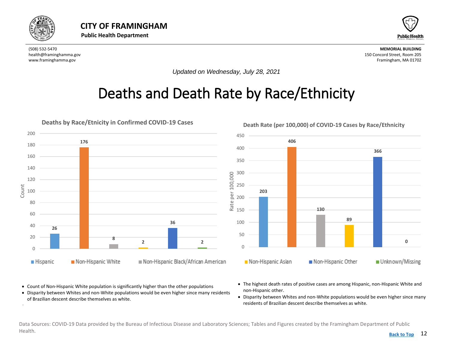<span id="page-11-0"></span>

•



(508) 532-5470 **MEMORIAL BUILDING** health@framinghamma.gov 150 Concord Street, Room 205 www.framinghamma.gov Framingham, MA 01702

*Updated on Wednesday, July 28, 2021*

## Deaths and Death Rate by Race/Ethnicity



- Count of Non-Hispanic White population is significantly higher than the other populations
- Disparity between Whites and non-White populations would be even higher since many residents of Brazilian descent describe themselves as white.
- The highest death rates of positive cases are among Hispanic, non-Hispanic White and non-Hispanic other.
- Disparity between Whites and non-White populations would be even higher since many residents of Brazilian descent describe themselves as white.

Data Sources: COVID-19 Data provided by the Bureau of Infectious Disease and Laboratory Sciences; Tables and Figures created by the Framingham Department of Public Health. **[Back to Top](#page-1-0)**